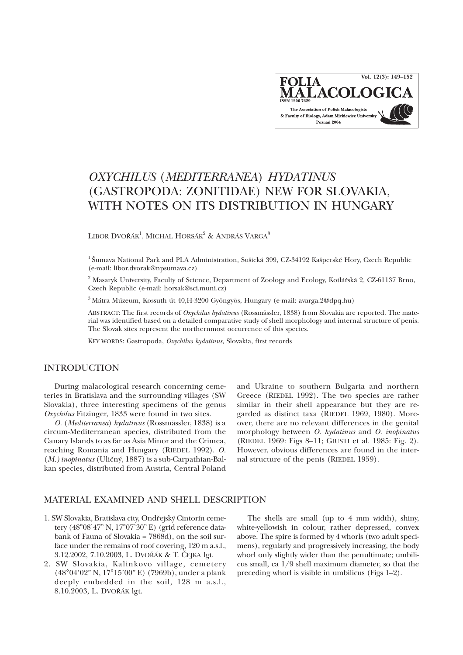

# *OXYCHILUS* (*MEDITERRANEA*) *HYDATINUS* (GASTROPODA: ZONITIDAE) NEW FOR SLOVAKIA, WITH NOTES ON ITS DISTRIBUTION IN HUNGARY

LIBOR DVOŘÁK<sup>1</sup>, MICHAL HORSÁK<sup>2</sup> & ANDRÁS VARGA<sup>3</sup>

<sup>1</sup> Šumava National Park and PLA Administration, Sušická 399, CZ-34192 Kašperské Hory, Czech Republic (e-mail: libor.dvorak@npsumava.cz)

<sup>2</sup> Masaryk University, Faculty of Science, Department of Zoology and Ecology, Kotlářská 2, CZ-61137 Brno, Czech Republic (e-mail: horsak@sci.muni.cz)

<sup>3</sup> Mátra Múzeum, Kossuth út 40,H-3200 Gyöngyös, Hungary (e-mail: avarga.2@dpq.hu)

ABSTRACT: The first records of *Oxychilus hydatinus* (Rossmässler, 1838) from Slovakia are reported. The material was identified based on a detailed comparative study of shell morphology and internal structure of penis. The Slovak sites represent the northernmost occurrence of this species.

KEY WORDS: Gastropoda, *Oxychilus hydatinus*, Slovakia, first records

### INTRODUCTION

During malacological research concerning cemeteries in Bratislava and the surrounding villages (SW Slovakia), three interesting specimens of the genus *Oxychilus* Fitzinger, 1833 were found in two sites.

*O.* (*Mediterranea*) *hydatinus* (Rossmässler, 1838) is a circum-Mediterranean species, distributed from the Canary Islands to as far as Asia Minor and the Crimea, reaching Romania and Hungary (RIEDEL 1992). *O.* (*M.) inopinatus* (Ulièný, 1887) is a sub-Carpathian-Balkan species, distributed from Austria, Central Poland and Ukraine to southern Bulgaria and northern Greece (RIEDEL 1992). The two species are rather similar in their shell appearance but they are regarded as distinct taxa (RIEDEL 1969, 1980). Moreover, there are no relevant differences in the genital morphology between *O. hydatinus* and *O. inopinatus* (RIEDEL 1969: Figs 8–11; GIUSTI et al. 1985: Fig. 2). However, obvious differences are found in the internal structure of the penis (RIEDEL 1959).

### MATERIAL EXAMINED AND SHELL DESCRIPTION

- 1. SW Slovakia, Bratislava city, Ondřejský Cintorín cemetery (48°08'47" N, 17°07'30" E) (grid reference databank of Fauna of Slovakia = 7868d), on the soil surface under the remains of roof covering, 120 m a.s.l., 3.12.2002, 7.10.2003, L. DVOØÁK & T. ÈEJKA lgt.
- 2. SW Slovakia, Kalinkovo village, cemetery (48°04'02" N, 17°15'00" E) (7969b), under a plank deeply embedded in the soil, 128 m a.s.l., 8.10.2003, L. DVOŘÁK lgt.

The shells are small (up to 4 mm width), shiny, white-yellowish in colour, rather depressed, convex above. The spire is formed by 4 whorls (two adult specimens), regularly and progressively increasing, the body whorl only slightly wider than the penultimate; umbilicus small, ca 1/9 shell maximum diameter, so that the preceding whorl is visible in umbilicus (Figs 1–2).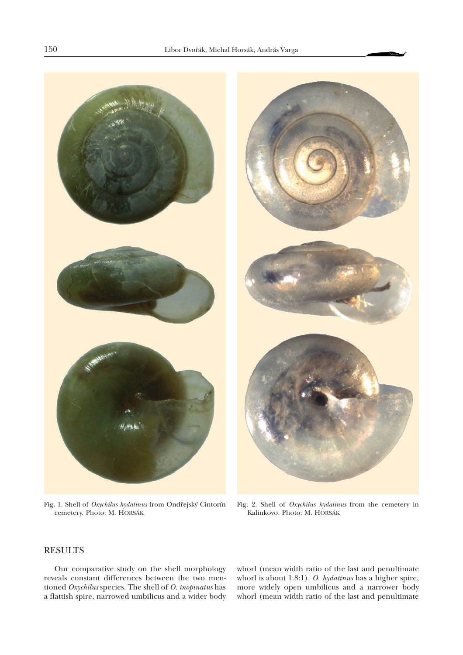

Fig. 1. Shell of Oxychilus hydatinus from Ondřejský Cintorín cemetery. Photo: M. HORSÁK



Fig. 2. Shell of *Oxychilus hydatinus* from the cemetery in Kalinkovo. Photo: M. HORSÁK

## RESULTS

Our comparative study on the shell morphology reveals constant differences between the two mentioned *Oxychilus* species. The shell of *O. inopinatus* has a flattish spire, narrowed umbilicus and a wider body whorl (mean width ratio of the last and penultimate whorl is about 1.8:1). *O. hydatinus* has a higher spire, more widely open umbilicus and a narrower body whorl (mean width ratio of the last and penultimate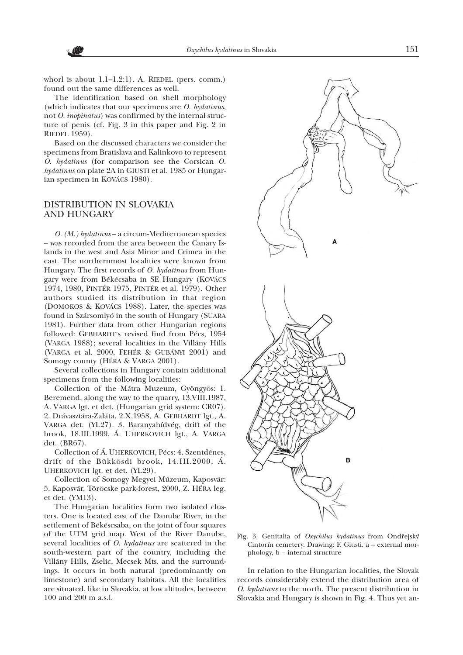whorl is about 1.1-1.2:1). A. RIEDEL (pers. comm.) found out the same differences as well.

The identification based on shell morphology (which indicates that our specimens are *O. hydatinus*, not *O. inopinatus*) was confirmed by the internal structure of penis (cf. Fig. 3 in this paper and Fig. 2 in RIEDEL 1959).

Based on the discussed characters we consider the specimens from Bratislava and Kalinkovo to represent *O. hydatinus* (for comparison see the Corsican *O. hydatinus* on plate 2A in GIUSTI et al. 1985 or Hungarian specimen in KOVÁCS 1980).

### DISTRIBUTION IN SLOVAKIA AND HUNGARY

*O. (M.) hydatinus* – a circum-Mediterranean species – was recorded from the area between the Canary Islands in the west and Asia Minor and Crimea in the east. The northernmost localities were known from Hungary. The first records of *O. hydatinus* from Hungary were from Békécsaba in SE Hungary (KOVÁCS 1974, 1980, PINTÉR 1975, PINTÉR et al. 1979). Other authors studied its distribution in that region (DOMOKOS & KOVÁCS 1988). Later, the species was found in Szársomlyó in the south of Hungary (SUARA 1981). Further data from other Hungarian regions followed: GEBHARDT's revised find from Pécs, 1954 (VARGA 1988); several localities in the Villány Hills (VARGA et al. 2000, FEHÉR & GUBÁNYI 2001) and Somogy county (HÉRA & VARGA 2001).

Several collections in Hungary contain additional specimens from the following localities:

Collection of the Mátra Muzeum, Gyöngyös: 1. Beremend, along the way to the quarry, 13.VIII.1987, A. VARGA lgt. et det. (Hungarian grid system: CR07). 2. Drávasztára-Zaláta, 2.X.1958, A. GEBHARDT lgt., A. VARGA det. (YL27). 3. Baranyahídvég, drift of the brook, 18.III.1999, Á. UHERKOVICH lgt., A. VARGA det. (BR67).

Collection of Á. UHERKOVICH, Pécs: 4. Szentdénes, drift of the Bükkösdi brook, 14.III.2000, Á. UHERKOVICH lgt. et det. (YL29).

Collection of Somogy Megyei Múzeum, Kaposvár: 5. Kaposvár, Töröcske park-forest, 2000, Z. HÉRA leg. et det. (YM13).

The Hungarian localities form two isolated clusters. One is located east of the Danube River, in the settlement of Békéscsaba, on the joint of four squares of the UTM grid map. West of the River Danube, several localities of *O. hydatinus* are scattered in the south-western part of the country, including the Villány Hills, Zselic, Mecsek Mts. and the surroundings. It occurs in both natural (predominantly on limestone) and secondary habitats. All the localities are situated, like in Slovakia, at low altitudes, between 100 and 200 m a.s.l.



Fig. 3. Genitalia of *Oxychilus hydatinus* from Ondřejský Cintorín cemetery. Drawing: F. Giusti. a – external morphology, b – internal structure

In relation to the Hungarian localities, the Slovak records considerably extend the distribution area of *O. hydatinus* to the north. The present distribution in Slovakia and Hungary is shown in Fig. 4. Thus yet an